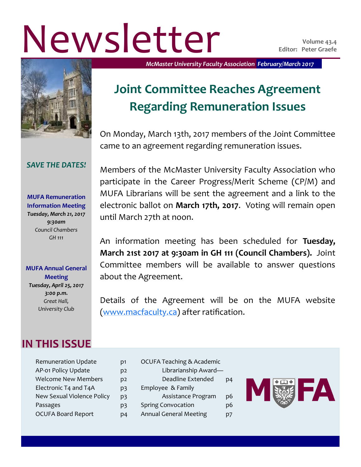# Newsletter **Vertretter Volume 43.4**

#### *SAVE THE DATES!*

**MUFA Remuneration Information Meeting** *Tuesday, March 21, 2017 9:30am Council Chambers GH 111*

#### **MUFA Annual General Meeting**

*Tuesday, April 25, 2017 3:00 p.m. Great Hall, University Club*

## **IN THIS ISSUE**

| D1             |
|----------------|
| D <sub>2</sub> |
| D <sub>2</sub> |
| p3             |
| p3             |
| р3             |
|                |
|                |

*McMaster University Faculty Association February/March 2017*

# **Joint Committee Reaches Agreement Regarding Remuneration Issues**

On Monday, March 13th, 2017 members of the Joint Committee came to an agreement regarding remuneration issues.

Members of the McMaster University Faculty Association who participate in the Career Progress/Merit Scheme (CP/M) and MUFA Librarians will be sent the agreement and a link to the electronic ballot on **March 17th, 2017**. Voting will remain open until March 27th at noon.

An information meeting has been scheduled for **Tuesday, March 21st 2017 at 9:30am in GH 111 (Council Chambers).** Joint Committee members will be available to answer questions about the Agreement.

Details of the Agreement will be on the MUFA website ([www.macfaculty.ca\)](http://www.macfaculty.ca) after ratification.

> OCUFA Teaching & Academic Librarianship Award— Deadline Extended p4 Employee & Family Assistance Program p6 Spring Convocation p6 Annual General Meeting p7

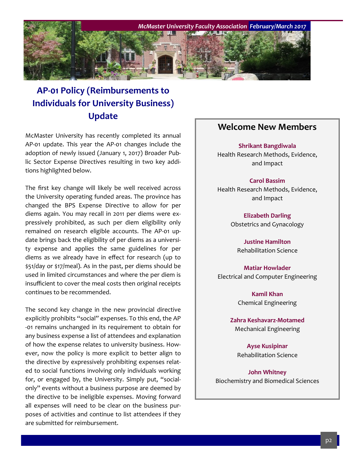

## **AP-01 Policy (Reimbursements to Individuals for University Business) Update**

McMaster University has recently completed its annual AP-01 update. This year the AP-01 changes include the adoption of newly issued (January 1, 2017) Broader Public Sector Expense Directives resulting in two key additions highlighted below.

The first key change will likely be well received across the University operating funded areas. The province has changed the BPS Expense Directive to allow for per diems again. You may recall in 2011 per diems were expressively prohibited, as such per diem eligibility only remained on research eligible accounts. The AP-01 update brings back the eligibility of per diems as a university expense and applies the same guidelines for per diems as we already have in effect for research (up to \$51/day or \$17/meal). As in the past, per diems should be used in limited circumstances and where the per diem is insufficient to cover the meal costs then original receipts continues to be recommended.

The second key change in the new provincial directive explicitly prohibits "social" expenses. To this end, the AP -01 remains unchanged in its requirement to obtain for any business expense a list of attendees and explanation of how the expense relates to university business. However, now the policy is more explicit to better align to the directive by expressively prohibiting expenses related to social functions involving only individuals working for, or engaged by, the University. Simply put, "socialonly" events without a business purpose are deemed by the directive to be ineligible expenses. Moving forward all expenses will need to be clear on the business purposes of activities and continue to list attendees if they are submitted for reimbursement.

#### **Welcome New Members**

**Shrikant Bangdiwala** Health Research Methods, Evidence, and Impact

**Carol Bassim** Health Research Methods, Evidence, and Impact

> **Elizabeth Darling** Obstetrics and Gynacology

**Justine Hamilton** Rehabilitation Science

**Matiar Howlader** Electrical and Computer Engineering

> **Kamil Khan** Chemical Engineering

**Zahra Keshavarz-Motamed** Mechanical Engineering

**Ayse Kusipinar** Rehabilitation Science

**John Whitney** Biochemistry and Biomedical Sciences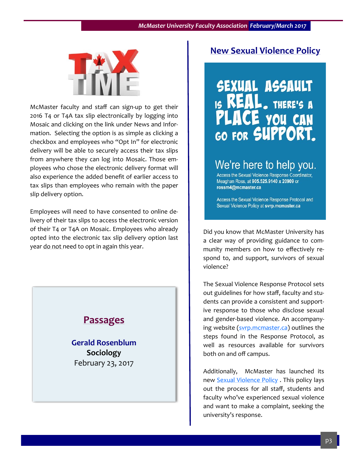

McMaster faculty and staff can sign-up to get their 2016 T4 or T4A tax slip electronically by logging into Mosaic and clicking on the link under News and Information. Selecting the option is as simple as clicking a checkbox and employees who "Opt In" for electronic delivery will be able to securely access their tax slips from anywhere they can log into Mosaic. Those employees who chose the electronic delivery format will also experience the added benefit of earlier access to tax slips than employees who remain with the paper slip delivery option.

Employees will need to have consented to online delivery of their tax slips to access the electronic version of their T4 or T4A on Mosaic. Employees who already opted into the electronic tax slip delivery option last year do not need to opt in again this year.

## **Passages**

**Gerald Rosenblum Sociology** February 23, 2017

### **New Sexual Violence Policy**

# **SEXUAL ASSAULT** THERE'S A **YOU CAN** GO FOR SUPPORT.

## We're here to help you.

Access the Sexual Violence Response Coordinator, Meaghan Ross, at 905.525.9140 x 20909 or rossm4@mcmaster.ca

Access the Sexual Violence Response Protocol and Sexual Violence Policy at svrp.mcmaster.ca

Did you know that McMaster University has a clear way of providing guidance to community members on how to effectively respond to, and support, survivors of sexual violence?

The Sexual Violence Response Protocol sets out guidelines for how staff, faculty and students can provide a consistent and supportive response to those who disclose sexual and gender-based violence. An accompanying website ([svrp.mcmaster.ca\)](svrp.mcmaster.ca) outlines the steps found in the Response Protocol, as well as resources available for survivors both on and off campus.

Additionally, McMaster has launched its new [Sexual Violence Policy](http://www.mcmaster.ca/policy/General/HR/Sexual_Violence_Policy.pdf) . This policy lays out the process for all staff, students and faculty who've experienced sexual violence and want to make a complaint, seeking the university's response.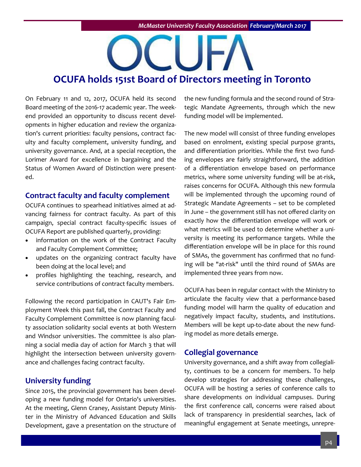# **OCUFA holds 151st Board of Directors meeting in Toronto**

On February 11 and 12, 2017, OCUFA held its second Board meeting of the 2016-17 academic year. The weekend provided an opportunity to discuss recent developments in higher education and review the organization's current priorities: faculty pensions, contract faculty and faculty complement, university funding, and university governance. And, at a special reception, the Lorimer Award for excellence in bargaining and the Status of Women Award of Distinction were presented.

#### **Contract faculty and faculty complement**

OCUFA continues to spearhead initiatives aimed at advancing fairness for contract faculty. As part of this campaign, special contract faculty-specific issues of OCUFA Report are published quarterly, providing:

- information on the work of the Contract Faculty and Faculty Complement Committee;
- updates on the organizing contract faculty have been doing at the local level; and
- profiles highlighting the teaching, research, and service contributions of contract faculty members.

Following the record participation in CAUT's Fair Employment Week this past fall, the Contract Faculty and Faculty Complement Committee is now planning faculty association solidarity social events at both Western and Windsor universities. The committee is also planning a social media day of action for March 3 that will highlight the intersection between university governance and challenges facing contract faculty.

#### **University funding**

Since 2015, the provincial government has been developing a new funding model for Ontario's universities. At the meeting, Glenn Craney, Assistant Deputy Minister in the Ministry of Advanced Education and Skills Development, gave a presentation on the structure of the new funding formula and the second round of Strategic Mandate Agreements, through which the new funding model will be implemented.

The new model will consist of three funding envelopes based on enrolment, existing special purpose grants, and differentiation priorities. While the first two funding envelopes are fairly straightforward, the addition of a differentiation envelope based on performance metrics, where some university funding will be at-risk, raises concerns for OCUFA. Although this new formula will be implemented through the upcoming round of Strategic Mandate Agreements – set to be completed in June – the government still has not offered clarity on exactly how the differentiation envelope will work or what metrics will be used to determine whether a university is meeting its performance targets. While the differentiation envelope will be in place for this round of SMAs, the government has confirmed that no funding will be "at-risk" until the third round of SMAs are implemented three years from now.

OCUFA has been in regular contact with the Ministry to articulate the faculty view that a performance-based funding model will harm the quality of education and negatively impact faculty, students, and institutions. Members will be kept up-to-date about the new funding model as more details emerge.

#### **Collegial governance**

University governance, and a shift away from collegiality, continues to be a concern for members. To help develop strategies for addressing these challenges, OCUFA will be hosting a series of conference calls to share developments on individual campuses. During the first conference call, concerns were raised about lack of transparency in presidential searches, lack of meaningful engagement at Senate meetings, unrepre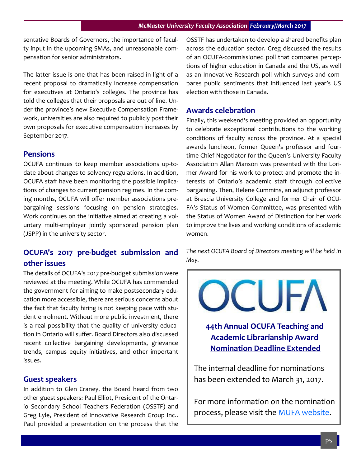sentative Boards of Governors, the importance of faculty input in the upcoming SMAs, and unreasonable compensation for senior administrators.

The latter issue is one that has been raised in light of a recent proposal to dramatically increase compensation for executives at Ontario's colleges. The province has told the colleges that their proposals are out of line. Under the province's new Executive Compensation Framework, universities are also required to publicly post their own proposals for executive compensation increases by September 2017.

#### **Pensions**

OCUFA continues to keep member associations up-todate about changes to solvency regulations. In addition, OCUFA staff have been monitoring the possible implications of changes to current pension regimes. In the coming months, OCUFA will offer member associations prebargaining sessions focusing on pension strategies. Work continues on the initiative aimed at creating a voluntary multi-employer jointly sponsored pension plan (JSPP) in the university sector.

#### **OCUFA's 2017 pre-budget submission and other issues**

The details of OCUFA's 2017 pre-budget submission were reviewed at the meeting. While OCUFA has commended the government for aiming to make postsecondary education more accessible, there are serious concerns about the fact that faculty hiring is not keeping pace with student enrolment. Without more public investment, there is a real possibility that the quality of university education in Ontario will suffer. Board Directors also discussed recent collective bargaining developments, grievance trends, campus equity initiatives, and other important issues.

#### **Guest speakers**

In addition to Glen Craney, the Board heard from two other guest speakers: Paul Elliot, President of the Ontario Secondary School Teachers Federation (OSSTF) and Greg Lyle, President of Innovative Research Group Inc.. Paul provided a presentation on the process that the OSSTF has undertaken to develop a shared benefits plan across the education sector. Greg discussed the results of an OCUFA-commissioned poll that compares perceptions of higher education in Canada and the US, as well as an Innovative Research poll which surveys and compares public sentiments that influenced last year's US election with those in Canada.

#### **Awards celebration**

Finally, this weekend's meeting provided an opportunity to celebrate exceptional contributions to the working conditions of faculty across the province. At a special awards luncheon, former Queen's professor and fourtime Chief Negotiator for the Queen's University Faculty Association Allan Manson was presented with the Lorimer Award for his work to protect and promote the interests of Ontario's academic staff through collective bargaining. Then, Helene Cummins, an adjunct professor at Brescia University College and former Chair of OCU-FA's Status of Women Committee, was presented with the Status of Women Award of Distinction for her work to improve the lives and working conditions of academic women.

*The next OCUFA Board of Directors meeting will be held in May.* 



**Academic Librarianship Award Nomination Deadline Extended**

The internal deadline for nominations has been extended to March 31, 2017.

For more information on the nomination process, please visit the [MUFA website.](http://macfaculty.ca/ocufa-teaching-and-academic-librarianship-award-call-for-nominations/)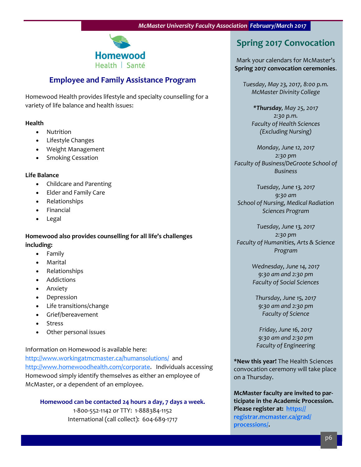

#### **Employee and Family Assistance Program**

Homewood Health provides lifestyle and specialty counselling for a variety of life balance and health issues:

#### **Health**

- Nutrition
- Lifestyle Changes
- Weight Management
- Smoking Cessation

#### **Life Balance**

- Childcare and Parenting
- Elder and Family Care
- Relationships
- Financial
- Legal

**Homewood also provides counselling for all life's challenges including:**

- Family
- Marital
- Relationships
- Addictions
- Anxiety
- Depression
- Life transitions/change
- Grief/bereavement
- Stress
- Other personal issues

Information on Homewood is available here:

<http://www.workingatmcmaster.ca/humansolutions/> and [http://www.homewoodhealth.com/corporate.](http://www.homewoodhealth.com/corporate) Individuals accessing Homewood simply identify themselves as either an employee of McMaster, or a dependent of an employee.

**Homewood can be contacted 24 hours a day, 7 days a week.** 1-800-552-1142 or TTY: 1-888384-1152 International (call collect): 604-689-1717

## **Spring 2017 Convocation**

Mark your calendars for McMaster's **Spring 2017 convocation ceremonies**.

*Tuesday, May 23, 2017, 8:00 p.m. McMaster Divinity College*

*\*Thursday, May 25, 2017 2:30 p.m. Faculty of Health Sciences (Excluding Nursing)*

*Monday, June 12, 2017 2:30 pm Faculty of Business/DeGroote School of Business*

*Tuesday, June 13, 2017 9:30 am School of Nursing, Medical Radiation Sciences Program*

*Tuesday, June 13, 2017 2:30 pm Faculty of Humanities, Arts & Science Program*

> *Wednesday, June 14, 2017 9:30 am and 2:30 pm Faculty of Social Sciences*

*Thursday, June 15, 2017 9:30 am and 2:30 pm Faculty of Science*

*Friday, June 16, 2017 9:30 am and 2:30 pm Faculty of Engineering*

**\*New this year!** The Health Sciences convocation ceremony will take place on a Thursday.

**McMaster faculty are invited to participate in the Academic Procession. Please register at: [https://](https://registrar.mcmaster.ca/grad/processions/) [registrar.mcmaster.ca/grad/](https://registrar.mcmaster.ca/grad/processions/) [processions/.](https://registrar.mcmaster.ca/grad/processions/)**